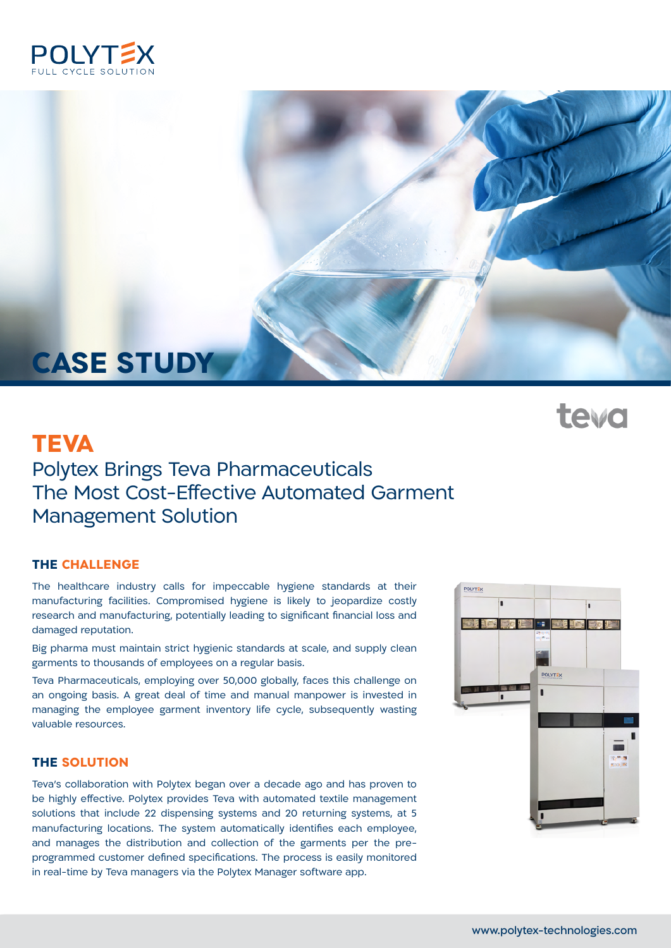

# **CASE STUDY**

# **TEVA**

# Polytex Brings Teva Pharmaceuticals The Most Cost-Effective Automated Garment **Management Solution**

### **THE CHALLENGE**

The healthcare industry calls for impeccable hygiene standards at their manufacturing facilities. Compromised hygiene is likely to jeopardize costly research and manufacturing, potentially leading to significant financial loss and damaged reputation.

Big pharma must maintain strict hygienic standards at scale, and supply clean garments to thousands of employees on a regular basis.

Teva Pharmaceuticals, employing over 50,000 globally, faces this challenge on an ongoing basis. A great deal of time and manual manpower is invested in managing the employee garment inventory life cycle, subsequently wasting valuable resources.

### **THE SOLUTION**

Teva's collaboration with Polytex began over a decade ago and has proven to be highly effective. Polytex provides Teva with automated textile management solutions that include 22 dispensing systems and 20 returning systems, at 5 manufacturing locations. The system automatically identifies each employee, programmed customer defined specifications. The process is easily monitored and manages the distribution and collection of the garments per the prein real-time by Teva managers via the Polytex Manager software app.



**teva**